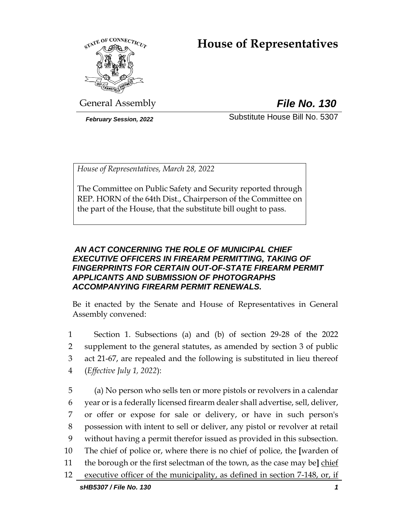# **House of Representatives**



General Assembly *File No. 130*

*February Session, 2022* Substitute House Bill No. 5307

*House of Representatives, March 28, 2022*

The Committee on Public Safety and Security reported through REP. HORN of the 64th Dist., Chairperson of the Committee on the part of the House, that the substitute bill ought to pass.

### *AN ACT CONCERNING THE ROLE OF MUNICIPAL CHIEF EXECUTIVE OFFICERS IN FIREARM PERMITTING, TAKING OF FINGERPRINTS FOR CERTAIN OUT-OF-STATE FIREARM PERMIT APPLICANTS AND SUBMISSION OF PHOTOGRAPHS ACCOMPANYING FIREARM PERMIT RENEWALS.*

Be it enacted by the Senate and House of Representatives in General Assembly convened:

 Section 1. Subsections (a) and (b) of section 29-28 of the 2022 supplement to the general statutes, as amended by section 3 of public act 21-67, are repealed and the following is substituted in lieu thereof (*Effective July 1, 2022*):

*sHB5307 / File No. 130 1* (a) No person who sells ten or more pistols or revolvers in a calendar year or is a federally licensed firearm dealer shall advertise, sell, deliver, or offer or expose for sale or delivery, or have in such person's possession with intent to sell or deliver, any pistol or revolver at retail without having a permit therefor issued as provided in this subsection. The chief of police or, where there is no chief of police, the **[**warden of the borough or the first selectman of the town, as the case may be**]** chief executive officer of the municipality, as defined in section 7-148, or, if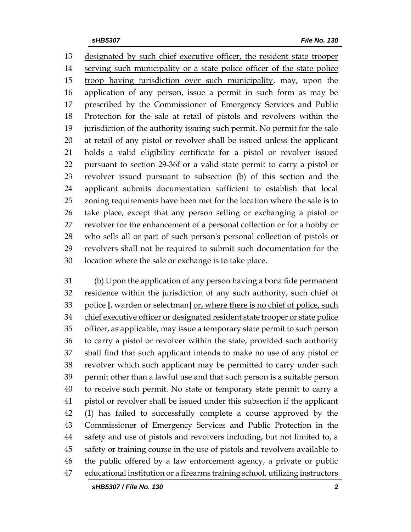designated by such chief executive officer, the resident state trooper 14 serving such municipality or a state police officer of the state police 15 troop having jurisdiction over such municipality, may, upon the application of any person, issue a permit in such form as may be prescribed by the Commissioner of Emergency Services and Public Protection for the sale at retail of pistols and revolvers within the jurisdiction of the authority issuing such permit. No permit for the sale at retail of any pistol or revolver shall be issued unless the applicant holds a valid eligibility certificate for a pistol or revolver issued pursuant to section 29-36f or a valid state permit to carry a pistol or revolver issued pursuant to subsection (b) of this section and the applicant submits documentation sufficient to establish that local zoning requirements have been met for the location where the sale is to take place, except that any person selling or exchanging a pistol or revolver for the enhancement of a personal collection or for a hobby or who sells all or part of such person's personal collection of pistols or revolvers shall not be required to submit such documentation for the location where the sale or exchange is to take place.

 (b) Upon the application of any person having a bona fide permanent residence within the jurisdiction of any such authority, such chief of police **[**, warden or selectman**]** or, where there is no chief of police, such chief executive officer or designated resident state trooper or state police 35 officer, as applicable, may issue a temporary state permit to such person to carry a pistol or revolver within the state, provided such authority shall find that such applicant intends to make no use of any pistol or revolver which such applicant may be permitted to carry under such permit other than a lawful use and that such person is a suitable person to receive such permit. No state or temporary state permit to carry a pistol or revolver shall be issued under this subsection if the applicant (1) has failed to successfully complete a course approved by the Commissioner of Emergency Services and Public Protection in the safety and use of pistols and revolvers including, but not limited to, a safety or training course in the use of pistols and revolvers available to the public offered by a law enforcement agency, a private or public educational institution or a firearms training school, utilizing instructors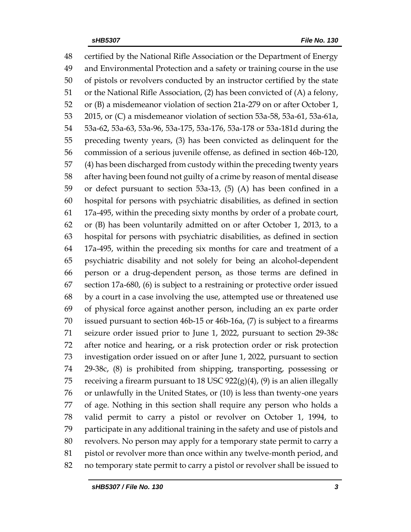certified by the National Rifle Association or the Department of Energy and Environmental Protection and a safety or training course in the use of pistols or revolvers conducted by an instructor certified by the state or the National Rifle Association, (2) has been convicted of (A) a felony, or (B) a misdemeanor violation of section 21a-279 on or after October 1, 2015, or (C) a misdemeanor violation of section 53a-58, 53a-61, 53a-61a, 53a-62, 53a-63, 53a-96, 53a-175, 53a-176, 53a-178 or 53a-181d during the preceding twenty years, (3) has been convicted as delinquent for the commission of a serious juvenile offense, as defined in section 46b-120, (4) has been discharged from custody within the preceding twenty years after having been found not guilty of a crime by reason of mental disease or defect pursuant to section 53a-13, (5) (A) has been confined in a hospital for persons with psychiatric disabilities, as defined in section 17a-495, within the preceding sixty months by order of a probate court, or (B) has been voluntarily admitted on or after October 1, 2013, to a hospital for persons with psychiatric disabilities, as defined in section 17a-495, within the preceding six months for care and treatment of a psychiatric disability and not solely for being an alcohol-dependent 66 person or a drug-dependent person, as those terms are defined in section 17a-680, (6) is subject to a restraining or protective order issued by a court in a case involving the use, attempted use or threatened use of physical force against another person, including an ex parte order issued pursuant to section 46b-15 or 46b-16a, (7) is subject to a firearms seizure order issued prior to June 1, 2022, pursuant to section 29-38c after notice and hearing, or a risk protection order or risk protection investigation order issued on or after June 1, 2022, pursuant to section 29-38c, (8) is prohibited from shipping, transporting, possessing or 75 receiving a firearm pursuant to 18 USC  $922(g)(4)$ , (9) is an alien illegally or unlawfully in the United States, or (10) is less than twenty-one years of age. Nothing in this section shall require any person who holds a valid permit to carry a pistol or revolver on October 1, 1994, to participate in any additional training in the safety and use of pistols and revolvers. No person may apply for a temporary state permit to carry a pistol or revolver more than once within any twelve-month period, and no temporary state permit to carry a pistol or revolver shall be issued to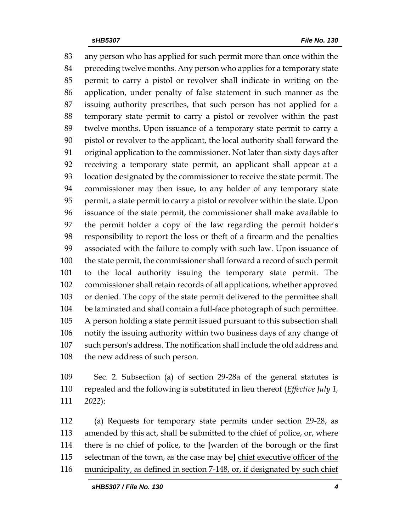any person who has applied for such permit more than once within the preceding twelve months. Any person who applies for a temporary state permit to carry a pistol or revolver shall indicate in writing on the application, under penalty of false statement in such manner as the issuing authority prescribes, that such person has not applied for a temporary state permit to carry a pistol or revolver within the past twelve months. Upon issuance of a temporary state permit to carry a pistol or revolver to the applicant, the local authority shall forward the original application to the commissioner. Not later than sixty days after receiving a temporary state permit, an applicant shall appear at a location designated by the commissioner to receive the state permit. The commissioner may then issue, to any holder of any temporary state permit, a state permit to carry a pistol or revolver within the state. Upon issuance of the state permit, the commissioner shall make available to the permit holder a copy of the law regarding the permit holder's responsibility to report the loss or theft of a firearm and the penalties associated with the failure to comply with such law. Upon issuance of the state permit, the commissioner shall forward a record of such permit to the local authority issuing the temporary state permit. The commissioner shall retain records of all applications, whether approved or denied. The copy of the state permit delivered to the permittee shall be laminated and shall contain a full-face photograph of such permittee. A person holding a state permit issued pursuant to this subsection shall notify the issuing authority within two business days of any change of such person's address. The notification shall include the old address and the new address of such person.

 Sec. 2. Subsection (a) of section 29-28a of the general statutes is repealed and the following is substituted in lieu thereof (*Effective July 1, 2022*):

 (a) Requests for temporary state permits under section 29-28, as 113 amended by this act, shall be submitted to the chief of police, or, where there is no chief of police, to the **[**warden of the borough or the first selectman of the town, as the case may be**]** chief executive officer of the municipality, as defined in section 7-148, or, if designated by such chief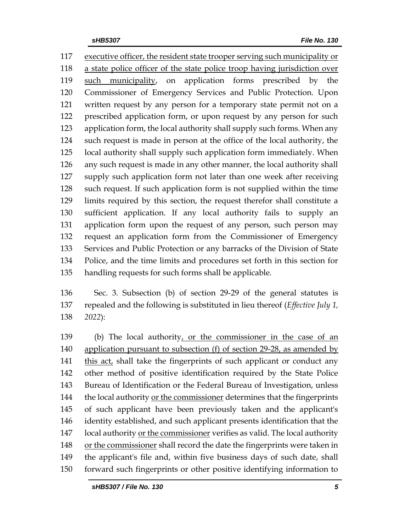executive officer, the resident state trooper serving such municipality or a state police officer of the state police troop having jurisdiction over 119 <u>such municipality</u>, on application forms prescribed by the Commissioner of Emergency Services and Public Protection. Upon written request by any person for a temporary state permit not on a prescribed application form, or upon request by any person for such application form, the local authority shall supply such forms. When any such request is made in person at the office of the local authority, the local authority shall supply such application form immediately. When any such request is made in any other manner, the local authority shall supply such application form not later than one week after receiving such request. If such application form is not supplied within the time limits required by this section, the request therefor shall constitute a sufficient application. If any local authority fails to supply an application form upon the request of any person, such person may request an application form from the Commissioner of Emergency Services and Public Protection or any barracks of the Division of State Police, and the time limits and procedures set forth in this section for handling requests for such forms shall be applicable.

 Sec. 3. Subsection (b) of section 29-29 of the general statutes is repealed and the following is substituted in lieu thereof (*Effective July 1, 2022*):

 (b) The local authority, or the commissioner in the case of an application pursuant to subsection (f) of section 29-28, as amended by 141 this act, shall take the fingerprints of such applicant or conduct any other method of positive identification required by the State Police Bureau of Identification or the Federal Bureau of Investigation, unless 144 the local authority or the commissioner determines that the fingerprints of such applicant have been previously taken and the applicant's identity established, and such applicant presents identification that the local authority or the commissioner verifies as valid. The local authority 148 or the commissioner shall record the date the fingerprints were taken in the applicant's file and, within five business days of such date, shall forward such fingerprints or other positive identifying information to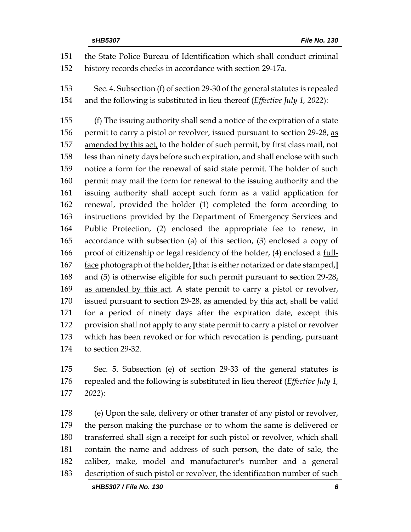the State Police Bureau of Identification which shall conduct criminal history records checks in accordance with section 29-17a. Sec. 4. Subsection (f) of section 29-30 of the general statutes is repealed and the following is substituted in lieu thereof (*Effective July 1, 2022*): (f) The issuing authority shall send a notice of the expiration of a state 156 permit to carry a pistol or revolver, issued pursuant to section 29-28, as amended by this act, to the holder of such permit, by first class mail, not less than ninety days before such expiration, and shall enclose with such notice a form for the renewal of said state permit. The holder of such permit may mail the form for renewal to the issuing authority and the issuing authority shall accept such form as a valid application for renewal, provided the holder (1) completed the form according to instructions provided by the Department of Emergency Services and Public Protection, (2) enclosed the appropriate fee to renew, in accordance with subsection (a) of this section, (3) enclosed a copy of proof of citizenship or legal residency of the holder, (4) enclosed a full- face photograph of the holder, **[**that is either notarized or date stamped,**]** and (5) is otherwise eligible for such permit pursuant to section 29-28, as amended by this act. A state permit to carry a pistol or revolver, 170 issued pursuant to section 29-28, as amended by this act, shall be valid for a period of ninety days after the expiration date, except this provision shall not apply to any state permit to carry a pistol or revolver which has been revoked or for which revocation is pending, pursuant to section 29-32.

 Sec. 5. Subsection (e) of section 29-33 of the general statutes is repealed and the following is substituted in lieu thereof (*Effective July 1, 2022*):

 (e) Upon the sale, delivery or other transfer of any pistol or revolver, the person making the purchase or to whom the same is delivered or transferred shall sign a receipt for such pistol or revolver, which shall contain the name and address of such person, the date of sale, the caliber, make, model and manufacturer's number and a general description of such pistol or revolver, the identification number of such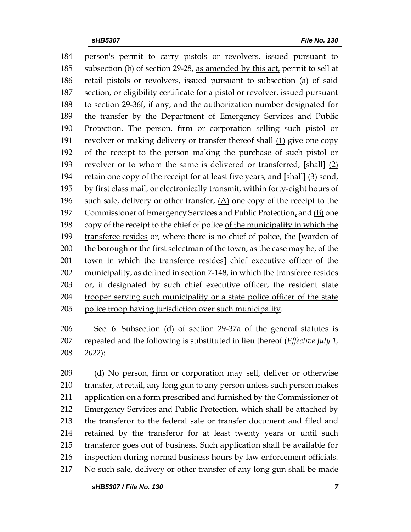person's permit to carry pistols or revolvers, issued pursuant to subsection (b) of section 29-28, as amended by this act, permit to sell at retail pistols or revolvers, issued pursuant to subsection (a) of said section, or eligibility certificate for a pistol or revolver, issued pursuant to section 29-36f, if any, and the authorization number designated for the transfer by the Department of Emergency Services and Public Protection. The person, firm or corporation selling such pistol or revolver or making delivery or transfer thereof shall (1) give one copy of the receipt to the person making the purchase of such pistol or revolver or to whom the same is delivered or transferred, **[**shall**]** (2) retain one copy of the receipt for at least five years, and **[**shall**]** (3) send, by first class mail, or electronically transmit, within forty-eight hours of 196 such sale, delivery or other transfer,  $(A)$  one copy of the receipt to the 197 Commissioner of Emergency Services and Public Protection, and (B) one copy of the receipt to the chief of police of the municipality in which the transferee resides or, where there is no chief of police, the **[**warden of 200 the borough or the first selectman of the town, as the case may be, of the town in which the transferee resides**]** chief executive officer of the municipality, as defined in section 7-148, in which the transferee resides or, if designated by such chief executive officer, the resident state trooper serving such municipality or a state police officer of the state police troop having jurisdiction over such municipality.

 Sec. 6. Subsection (d) of section 29-37a of the general statutes is repealed and the following is substituted in lieu thereof (*Effective July 1, 2022*):

 (d) No person, firm or corporation may sell, deliver or otherwise transfer, at retail, any long gun to any person unless such person makes application on a form prescribed and furnished by the Commissioner of Emergency Services and Public Protection, which shall be attached by the transferor to the federal sale or transfer document and filed and retained by the transferor for at least twenty years or until such transferor goes out of business. Such application shall be available for inspection during normal business hours by law enforcement officials. No such sale, delivery or other transfer of any long gun shall be made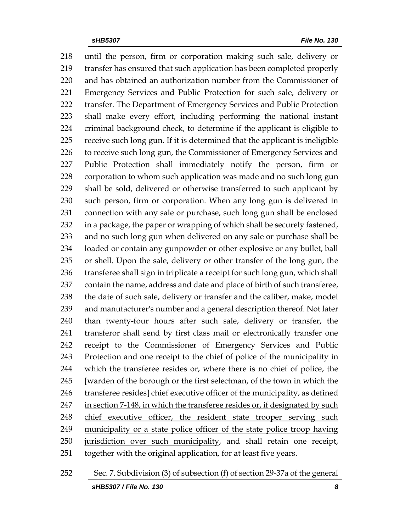until the person, firm or corporation making such sale, delivery or transfer has ensured that such application has been completed properly and has obtained an authorization number from the Commissioner of Emergency Services and Public Protection for such sale, delivery or transfer. The Department of Emergency Services and Public Protection shall make every effort, including performing the national instant criminal background check, to determine if the applicant is eligible to receive such long gun. If it is determined that the applicant is ineligible 226 to receive such long gun, the Commissioner of Emergency Services and Public Protection shall immediately notify the person, firm or corporation to whom such application was made and no such long gun shall be sold, delivered or otherwise transferred to such applicant by such person, firm or corporation. When any long gun is delivered in connection with any sale or purchase, such long gun shall be enclosed in a package, the paper or wrapping of which shall be securely fastened, and no such long gun when delivered on any sale or purchase shall be loaded or contain any gunpowder or other explosive or any bullet, ball or shell. Upon the sale, delivery or other transfer of the long gun, the 236 transferee shall sign in triplicate a receipt for such long gun, which shall contain the name, address and date and place of birth of such transferee, 238 the date of such sale, delivery or transfer and the caliber, make, model and manufacturer's number and a general description thereof. Not later than twenty-four hours after such sale, delivery or transfer, the transferor shall send by first class mail or electronically transfer one receipt to the Commissioner of Emergency Services and Public Protection and one receipt to the chief of police of the municipality in which the transferee resides or, where there is no chief of police, the **[**warden of the borough or the first selectman, of the town in which the transferee resides**]** chief executive officer of the municipality, as defined in section 7-148, in which the transferee resides or, if designated by such 248 chief executive officer, the resident state trooper serving such municipality or a state police officer of the state police troop having jurisdiction over such municipality, and shall retain one receipt, together with the original application, for at least five years.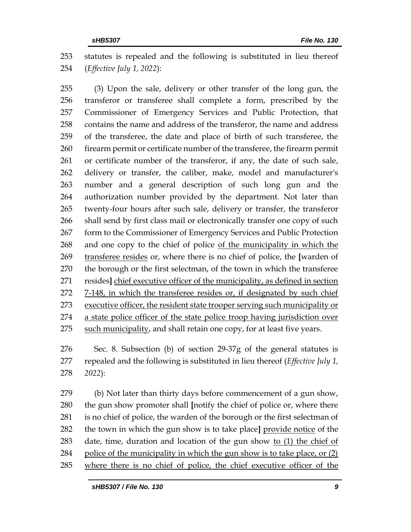statutes is repealed and the following is substituted in lieu thereof (*Effective July 1, 2022*):

 (3) Upon the sale, delivery or other transfer of the long gun, the transferor or transferee shall complete a form, prescribed by the Commissioner of Emergency Services and Public Protection, that contains the name and address of the transferor, the name and address of the transferee, the date and place of birth of such transferee, the firearm permit or certificate number of the transferee, the firearm permit or certificate number of the transferor, if any, the date of such sale, delivery or transfer, the caliber, make, model and manufacturer's number and a general description of such long gun and the authorization number provided by the department. Not later than twenty-four hours after such sale, delivery or transfer, the transferor 266 shall send by first class mail or electronically transfer one copy of such form to the Commissioner of Emergency Services and Public Protection and one copy to the chief of police of the municipality in which the transferee resides or, where there is no chief of police, the **[**warden of the borough or the first selectman, of the town in which the transferee resides**]** chief executive officer of the municipality, as defined in section 7-148, in which the transferee resides or, if designated by such chief executive officer, the resident state trooper serving such municipality or a state police officer of the state police troop having jurisdiction over 275 such municipality, and shall retain one copy, for at least five years.

 Sec. 8. Subsection (b) of section 29-37g of the general statutes is repealed and the following is substituted in lieu thereof (*Effective July 1, 2022*):

 (b) Not later than thirty days before commencement of a gun show, the gun show promoter shall **[**notify the chief of police or, where there is no chief of police, the warden of the borough or the first selectman of the town in which the gun show is to take place**]** provide notice of the date, time, duration and location of the gun show to (1) the chief of police of the municipality in which the gun show is to take place, or (2) where there is no chief of police, the chief executive officer of the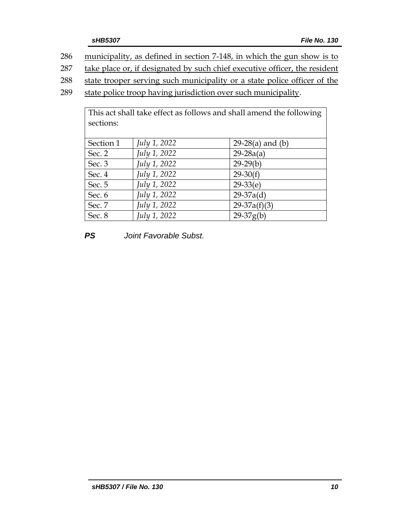286 municipality, as defined in section 7-148, in which the gun show is to

287 take place or, if designated by such chief executive officer, the resident

288 state trooper serving such municipality or a state police officer of the

289 state police troop having jurisdiction over such municipality.

| This act shall take effect as follows and shall amend the following<br>sections: |              |                    |
|----------------------------------------------------------------------------------|--------------|--------------------|
| Section 1                                                                        | July 1, 2022 | $29-28(a)$ and (b) |
| Sec. 2                                                                           | July 1, 2022 | $29 - 28a(a)$      |
| Sec. 3                                                                           | July 1, 2022 | $29-29(b)$         |
| Sec. 4                                                                           | July 1, 2022 | $29-30(f)$         |
| Sec. 5                                                                           | July 1, 2022 | $29-33(e)$         |
| Sec. 6                                                                           | July 1, 2022 | $29-37a(d)$        |
| Sec. 7                                                                           | July 1, 2022 | $29-37a(f)(3)$     |
| Sec. 8                                                                           | July 1, 2022 | $29-37g(b)$        |

*PS Joint Favorable Subst.*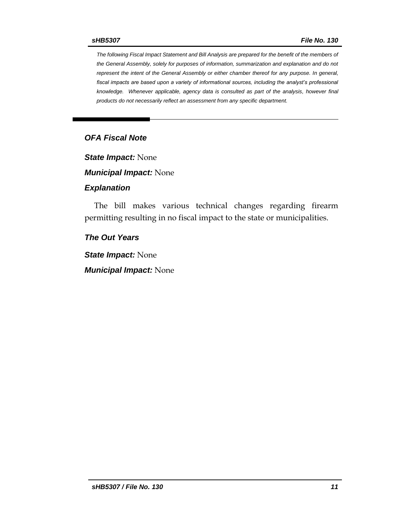*The following Fiscal Impact Statement and Bill Analysis are prepared for the benefit of the members of the General Assembly, solely for purposes of information, summarization and explanation and do not represent the intent of the General Assembly or either chamber thereof for any purpose. In general, fiscal impacts are based upon a variety of informational sources, including the analyst's professional knowledge. Whenever applicable, agency data is consulted as part of the analysis, however final products do not necessarily reflect an assessment from any specific department.*

### *OFA Fiscal Note*

*State Impact:* None

*Municipal Impact:* None

#### *Explanation*

The bill makes various technical changes regarding firearm permitting resulting in no fiscal impact to the state or municipalities.

#### *The Out Years*

*State Impact:* None

*Municipal Impact:* None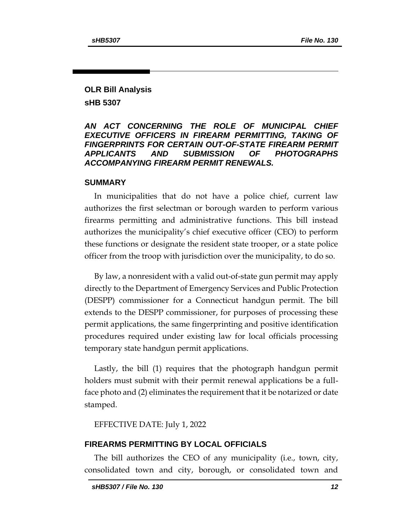## **OLR Bill Analysis sHB 5307**

#### *AN ACT CONCERNING THE ROLE OF MUNICIPAL CHIEF EXECUTIVE OFFICERS IN FIREARM PERMITTING, TAKING OF FINGERPRINTS FOR CERTAIN OUT-OF-STATE FIREARM PERMIT APPLICANTS AND SUBMISSION OF PHOTOGRAPHS ACCOMPANYING FIREARM PERMIT RENEWALS.*

#### **SUMMARY**

In municipalities that do not have a police chief, current law authorizes the first selectman or borough warden to perform various firearms permitting and administrative functions. This bill instead authorizes the municipality's chief executive officer (CEO) to perform these functions or designate the resident state trooper, or a state police officer from the troop with jurisdiction over the municipality, to do so.

By law, a nonresident with a valid out-of-state gun permit may apply directly to the Department of Emergency Services and Public Protection (DESPP) commissioner for a Connecticut handgun permit. The bill extends to the DESPP commissioner, for purposes of processing these permit applications, the same fingerprinting and positive identification procedures required under existing law for local officials processing temporary state handgun permit applications.

Lastly, the bill (1) requires that the photograph handgun permit holders must submit with their permit renewal applications be a fullface photo and (2) eliminates the requirement that it be notarized or date stamped.

EFFECTIVE DATE: July 1, 2022

#### **FIREARMS PERMITTING BY LOCAL OFFICIALS**

The bill authorizes the CEO of any municipality (i.e., town, city, consolidated town and city, borough, or consolidated town and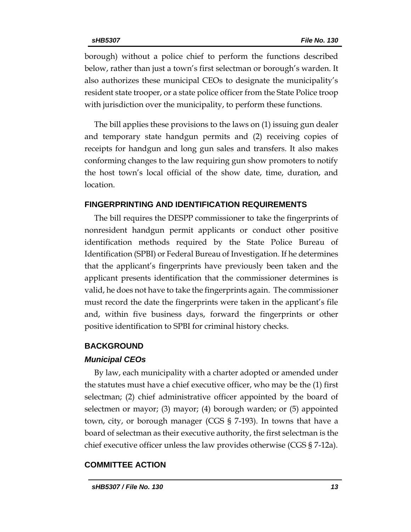borough) without a police chief to perform the functions described below, rather than just a town's first selectman or borough's warden. It also authorizes these municipal CEOs to designate the municipality's resident state trooper, or a state police officer from the State Police troop with jurisdiction over the municipality, to perform these functions.

The bill applies these provisions to the laws on (1) issuing gun dealer and temporary state handgun permits and (2) receiving copies of receipts for handgun and long gun sales and transfers. It also makes conforming changes to the law requiring gun show promoters to notify the host town's local official of the show date, time, duration, and location.

#### **FINGERPRINTING AND IDENTIFICATION REQUIREMENTS**

The bill requires the DESPP commissioner to take the fingerprints of nonresident handgun permit applicants or conduct other positive identification methods required by the State Police Bureau of Identification (SPBI) or Federal Bureau of Investigation. If he determines that the applicant's fingerprints have previously been taken and the applicant presents identification that the commissioner determines is valid, he does not have to take the fingerprints again. The commissioner must record the date the fingerprints were taken in the applicant's file and, within five business days, forward the fingerprints or other positive identification to SPBI for criminal history checks.

#### **BACKGROUND**

#### *Municipal CEOs*

By law, each municipality with a charter adopted or amended under the statutes must have a chief executive officer, who may be the (1) first selectman; (2) chief administrative officer appointed by the board of selectmen or mayor; (3) mayor; (4) borough warden; or (5) appointed town, city, or borough manager (CGS § 7-193). In towns that have a board of selectman as their executive authority, the first selectman is the chief executive officer unless the law provides otherwise (CGS § 7-12a).

#### **COMMITTEE ACTION**